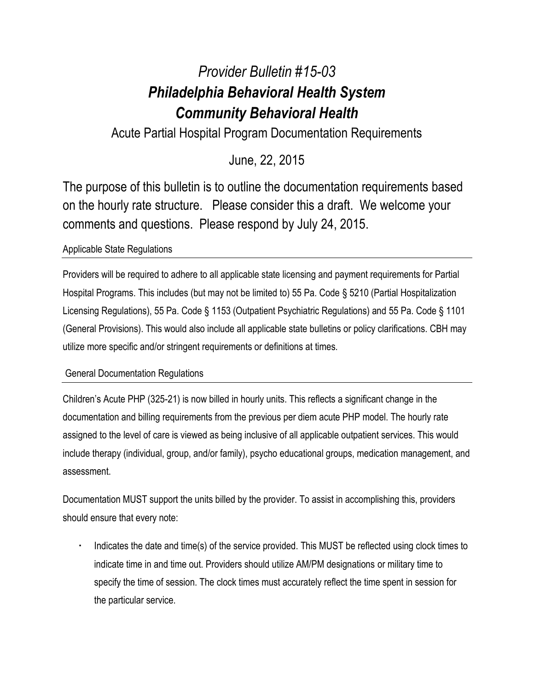# *Provider Bulletin #15-03 Philadelphia Behavioral Health System Community Behavioral Health*

Acute Partial Hospital Program Documentation Requirements

# June, 22, 2015

The purpose of this bulletin is to outline the documentation requirements based on the hourly rate structure. Please consider this a draft. We welcome your comments and questions. Please respond by July 24, 2015.

## Applicable State Regulations

Providers will be required to adhere to all applicable state licensing and payment requirements for Partial Hospital Programs. This includes (but may not be limited to) 55 Pa. Code § 5210 (Partial Hospitalization Licensing Regulations), 55 Pa. Code § 1153 (Outpatient Psychiatric Regulations) and 55 Pa. Code § 1101 (General Provisions). This would also include all applicable state bulletins or policy clarifications. CBH may utilize more specific and/or stringent requirements or definitions at times.

### General Documentation Regulations

Children's Acute PHP (325-21) is now billed in hourly units. This reflects a significant change in the documentation and billing requirements from the previous per diem acute PHP model. The hourly rate assigned to the level of care is viewed as being inclusive of all applicable outpatient services. This would include therapy (individual, group, and/or family), psycho educational groups, medication management, and assessment.

Documentation MUST support the units billed by the provider. To assist in accomplishing this, providers should ensure that every note:

 Indicates the date and time(s) of the service provided. This MUST be reflected using clock times to indicate time in and time out. Providers should utilize AM/PM designations or military time to specify the time of session. The clock times must accurately reflect the time spent in session for the particular service.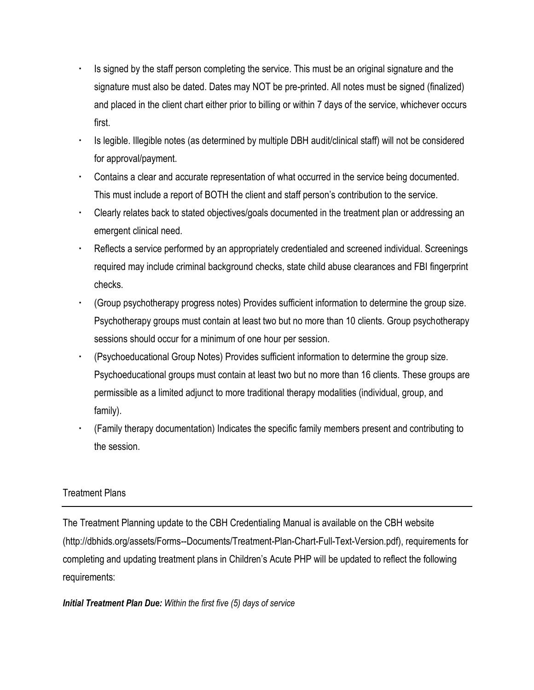- Is signed by the staff person completing the service. This must be an original signature and the signature must also be dated. Dates may NOT be pre-printed. All notes must be signed (finalized) and placed in the client chart either prior to billing or within 7 days of the service, whichever occurs first.
- Is legible. Illegible notes (as determined by multiple DBH audit/clinical staff) will not be considered for approval/payment.
- Contains a clear and accurate representation of what occurred in the service being documented. This must include a report of BOTH the client and staff person's contribution to the service.
- Clearly relates back to stated objectives/goals documented in the treatment plan or addressing an emergent clinical need.
- Reflects a service performed by an appropriately credentialed and screened individual. Screenings required may include criminal background checks, state child abuse clearances and FBI fingerprint checks.
- (Group psychotherapy progress notes) Provides sufficient information to determine the group size. Psychotherapy groups must contain at least two but no more than 10 clients. Group psychotherapy sessions should occur for a minimum of one hour per session.
- (Psychoeducational Group Notes) Provides sufficient information to determine the group size. Psychoeducational groups must contain at least two but no more than 16 clients. These groups are permissible as a limited adjunct to more traditional therapy modalities (individual, group, and family).
- (Family therapy documentation) Indicates the specific family members present and contributing to the session.

### Treatment Plans

The Treatment Planning update to the CBH Credentialing Manual is available on the CBH website (http://dbhids.org/assets/Forms--Documents/Treatment-Plan-Chart-Full-Text-Version.pdf), requirements for completing and updating treatment plans in Children's Acute PHP will be updated to reflect the following requirements:

#### *Initial Treatment Plan Due: Within the first five (5) days of service*